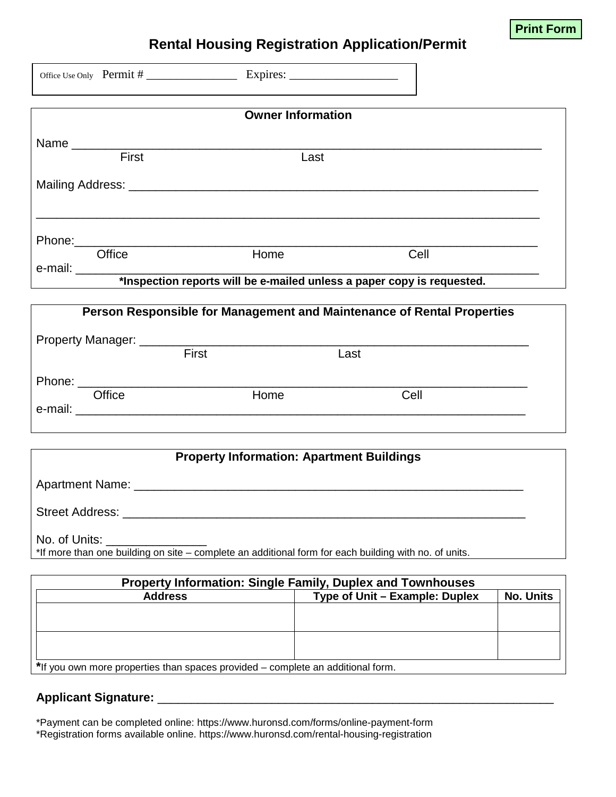

## **Rental Housing Registration Application/Permit**

|               |                          |              | <b>Owner Information</b>                                                                              |           |
|---------------|--------------------------|--------------|-------------------------------------------------------------------------------------------------------|-----------|
|               |                          |              |                                                                                                       |           |
|               | $\frac{1}{\text{First}}$ |              | Last                                                                                                  |           |
|               |                          |              |                                                                                                       |           |
|               |                          |              |                                                                                                       |           |
|               |                          |              |                                                                                                       |           |
|               | Office                   | Home         | Cell                                                                                                  |           |
|               |                          |              |                                                                                                       |           |
|               |                          |              | Person Responsible for Management and Maintenance of Rental Properties                                |           |
|               |                          |              |                                                                                                       |           |
|               |                          | <b>First</b> | Last                                                                                                  |           |
|               |                          |              |                                                                                                       |           |
|               | Office                   | Home         | Cell                                                                                                  |           |
|               |                          |              |                                                                                                       |           |
|               |                          |              | <b>Property Information: Apartment Buildings</b>                                                      |           |
|               |                          |              |                                                                                                       |           |
|               |                          |              |                                                                                                       |           |
|               | Street Address: ________ |              |                                                                                                       |           |
| No. of Units: |                          |              |                                                                                                       |           |
|               |                          |              | *If more than one building on site - complete an additional form for each building with no. of units. |           |
|               |                          |              | Property Information: Single Family, Duplex and Townhouses                                            |           |
|               | <b>Address</b>           |              | Type of Unit - Example: Duplex                                                                        | No. Units |

\*Payment can be completed online: https://www.huronsd.com/forms/online-payment-form \*Registration forms available online. https://www.huronsd.com/rental-housing-registration

**\***If you own more properties than spaces provided – complete an additional form.

**Applicant Signature:** \_\_\_\_\_\_\_\_\_\_\_\_\_\_\_\_\_\_\_\_\_\_\_\_\_\_\_\_\_\_\_\_\_\_\_\_\_\_\_\_\_\_\_\_\_\_\_\_\_\_\_\_\_\_\_\_\_\_\_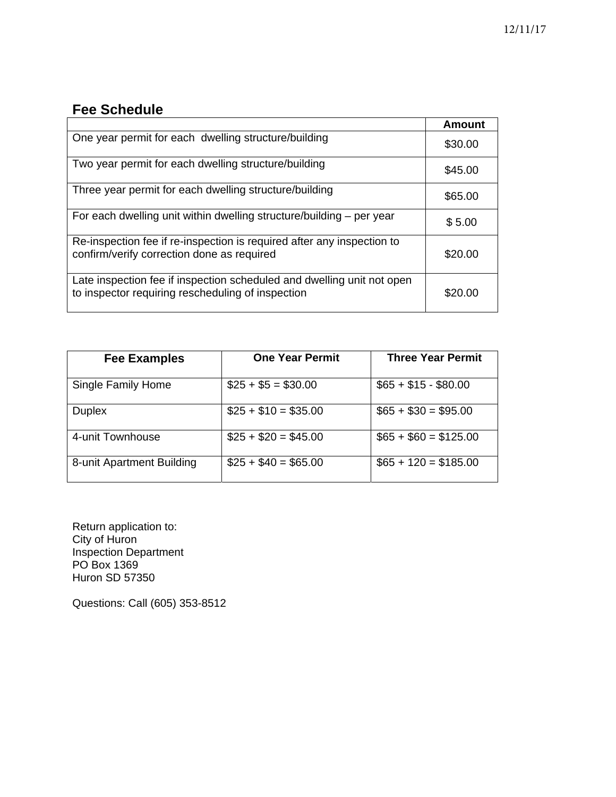## **Fee Schedule**

|                                                                                                                             | <b>Amount</b> |
|-----------------------------------------------------------------------------------------------------------------------------|---------------|
| One year permit for each dwelling structure/building                                                                        | \$30.00       |
| Two year permit for each dwelling structure/building                                                                        | \$45.00       |
| Three year permit for each dwelling structure/building                                                                      | \$65.00       |
| For each dwelling unit within dwelling structure/building – per year                                                        | \$5.00        |
| Re-inspection fee if re-inspection is required after any inspection to<br>confirm/verify correction done as required        | \$20.00       |
| Late inspection fee if inspection scheduled and dwelling unit not open<br>to inspector requiring rescheduling of inspection | \$20.00       |

| <b>Fee Examples</b>       | <b>One Year Permit</b> | <b>Three Year Permit</b> |
|---------------------------|------------------------|--------------------------|
| Single Family Home        | $$25 + $5 = $30.00$    | $$65 + $15 - $80.00$     |
| <b>Duplex</b>             | $$25 + $10 = $35.00$   | $$65 + $30 = $95.00$     |
| 4-unit Townhouse          | $$25 + $20 = $45.00$   | $$65 + $60 = $125.00$    |
| 8-unit Apartment Building | $$25 + $40 = $65.00$   | $$65 + 120 = $185.00$    |

Return application to: City of Huron Inspection Department PO Box 1369 Huron SD 57350

Questions: Call (605) 353-8512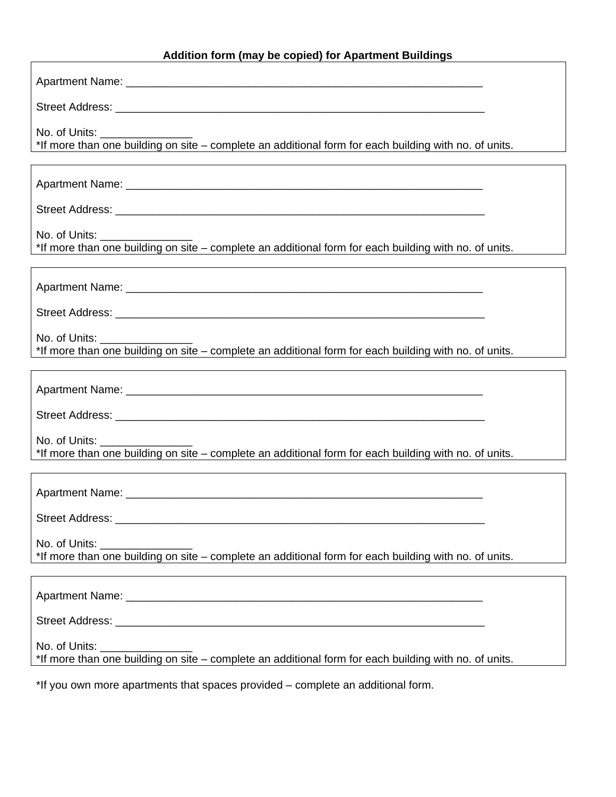## **Addition form (may be copied) for Apartment Buildings**

| No. of Units: _____<br>*If more than one building on site - complete an additional form for each building with no. of units.            |
|-----------------------------------------------------------------------------------------------------------------------------------------|
|                                                                                                                                         |
|                                                                                                                                         |
| No. of Units: __________<br>*If more than one building on site - complete an additional form for each building with no. of units.       |
|                                                                                                                                         |
|                                                                                                                                         |
| No. of Units:<br>*If more than one building on site - complete an additional form for each building with no. of units.                  |
|                                                                                                                                         |
|                                                                                                                                         |
| No. of Units: <u>_________</u><br>*If more than one building on site - complete an additional form for each building with no. of units. |
|                                                                                                                                         |
| Street Address: __________                                                                                                              |
| No. of Units:<br>*If more than one building on site - complete an additional form for each building with no. of units.                  |
|                                                                                                                                         |
|                                                                                                                                         |
| No. of Units: _______<br>*If more than one building on site - complete an additional form for each building with no. of units.          |

\*If you own more apartments that spaces provided – complete an additional form.